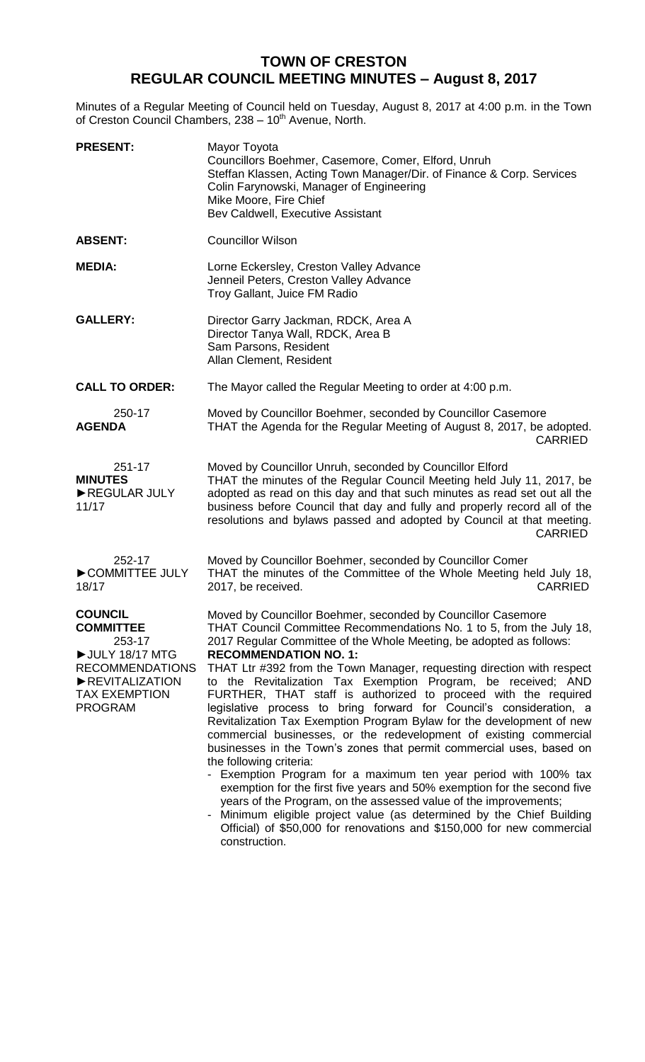## **TOWN OF CRESTON REGULAR COUNCIL MEETING MINUTES – August 8, 2017**

Minutes of a Regular Meeting of Council held on Tuesday, August 8, 2017 at 4:00 p.m. in the Town of Creston Council Chambers, 238 - 10<sup>th</sup> Avenue, North.

| <b>PRESENT:</b>                                                                                                                        | Mayor Toyota<br>Councillors Boehmer, Casemore, Comer, Elford, Unruh<br>Steffan Klassen, Acting Town Manager/Dir. of Finance & Corp. Services<br>Colin Farynowski, Manager of Engineering<br>Mike Moore, Fire Chief<br>Bev Caldwell, Executive Assistant                                                                                                                                                                                                                                                                                                                                                                                                                                                                                                                                                                                                                                                                                                                                                                                                                                                                                                                |
|----------------------------------------------------------------------------------------------------------------------------------------|------------------------------------------------------------------------------------------------------------------------------------------------------------------------------------------------------------------------------------------------------------------------------------------------------------------------------------------------------------------------------------------------------------------------------------------------------------------------------------------------------------------------------------------------------------------------------------------------------------------------------------------------------------------------------------------------------------------------------------------------------------------------------------------------------------------------------------------------------------------------------------------------------------------------------------------------------------------------------------------------------------------------------------------------------------------------------------------------------------------------------------------------------------------------|
| <b>ABSENT:</b>                                                                                                                         | <b>Councillor Wilson</b>                                                                                                                                                                                                                                                                                                                                                                                                                                                                                                                                                                                                                                                                                                                                                                                                                                                                                                                                                                                                                                                                                                                                               |
| <b>MEDIA:</b>                                                                                                                          | Lorne Eckersley, Creston Valley Advance<br>Jenneil Peters, Creston Valley Advance<br>Troy Gallant, Juice FM Radio                                                                                                                                                                                                                                                                                                                                                                                                                                                                                                                                                                                                                                                                                                                                                                                                                                                                                                                                                                                                                                                      |
| <b>GALLERY:</b>                                                                                                                        | Director Garry Jackman, RDCK, Area A<br>Director Tanya Wall, RDCK, Area B<br>Sam Parsons, Resident<br>Allan Clement, Resident                                                                                                                                                                                                                                                                                                                                                                                                                                                                                                                                                                                                                                                                                                                                                                                                                                                                                                                                                                                                                                          |
| <b>CALL TO ORDER:</b>                                                                                                                  | The Mayor called the Regular Meeting to order at 4:00 p.m.                                                                                                                                                                                                                                                                                                                                                                                                                                                                                                                                                                                                                                                                                                                                                                                                                                                                                                                                                                                                                                                                                                             |
| 250-17<br><b>AGENDA</b>                                                                                                                | Moved by Councillor Boehmer, seconded by Councillor Casemore<br>THAT the Agenda for the Regular Meeting of August 8, 2017, be adopted.<br><b>CARRIED</b>                                                                                                                                                                                                                                                                                                                                                                                                                                                                                                                                                                                                                                                                                                                                                                                                                                                                                                                                                                                                               |
| 251-17<br><b>MINUTES</b><br>REGULAR JULY<br>11/17                                                                                      | Moved by Councillor Unruh, seconded by Councillor Elford<br>THAT the minutes of the Regular Council Meeting held July 11, 2017, be<br>adopted as read on this day and that such minutes as read set out all the<br>business before Council that day and fully and properly record all of the<br>resolutions and bylaws passed and adopted by Council at that meeting.<br>CARRIED                                                                                                                                                                                                                                                                                                                                                                                                                                                                                                                                                                                                                                                                                                                                                                                       |
| 252-17<br>COMMITTEE JULY<br>18/17                                                                                                      | Moved by Councillor Boehmer, seconded by Councillor Comer<br>THAT the minutes of the Committee of the Whole Meeting held July 18,<br><b>CARRIED</b><br>2017, be received.                                                                                                                                                                                                                                                                                                                                                                                                                                                                                                                                                                                                                                                                                                                                                                                                                                                                                                                                                                                              |
| <b>COUNCIL</b><br><b>COMMITTEE</b><br>253-17<br>UULY 18/17 MTG<br><b>RECOMMENDATIONS</b><br>REVITALIZATION<br>TAX EXEMPTION<br>PROGRAM | Moved by Councillor Boehmer, seconded by Councillor Casemore<br>THAT Council Committee Recommendations No. 1 to 5, from the July 18,<br>2017 Regular Committee of the Whole Meeting, be adopted as follows:<br><b>RECOMMENDATION NO. 1:</b><br>THAT Ltr #392 from the Town Manager, requesting direction with respect<br>to the Revitalization Tax Exemption Program, be received; AND<br>FURTHER, THAT staff is authorized to proceed with the required<br>legislative process to bring forward for Council's consideration, a<br>Revitalization Tax Exemption Program Bylaw for the development of new<br>commercial businesses, or the redevelopment of existing commercial<br>businesses in the Town's zones that permit commercial uses, based on<br>the following criteria:<br>- Exemption Program for a maximum ten year period with 100% tax<br>exemption for the first five years and 50% exemption for the second five<br>years of the Program, on the assessed value of the improvements;<br>Minimum eligible project value (as determined by the Chief Building<br>Official) of \$50,000 for renovations and \$150,000 for new commercial<br>construction. |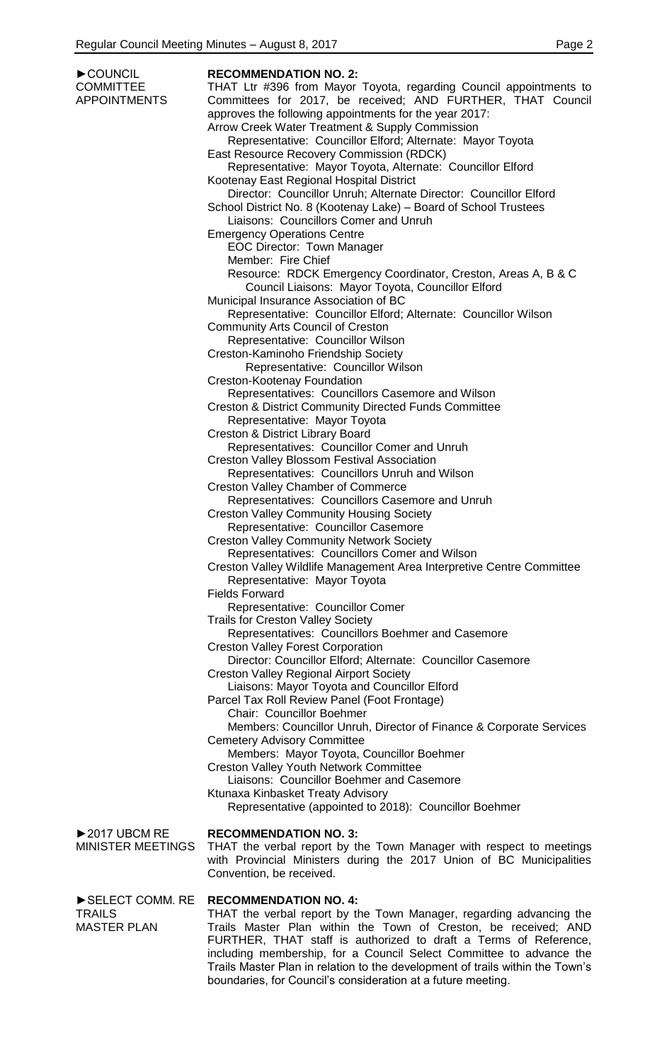| COUNCIL                       | <b>RECOMMENDATION NO. 2:</b>                                                                              |
|-------------------------------|-----------------------------------------------------------------------------------------------------------|
| <b>COMMITTEE</b>              | THAT Ltr #396 from Mayor Toyota, regarding Council appointments to                                        |
| <b>APPOINTMENTS</b>           | Committees for 2017, be received; AND FURTHER, THAT Council                                               |
|                               | approves the following appointments for the year 2017:                                                    |
|                               | Arrow Creek Water Treatment & Supply Commission                                                           |
|                               | Representative: Councillor Elford; Alternate: Mayor Toyota                                                |
|                               | East Resource Recovery Commission (RDCK)                                                                  |
|                               | Representative: Mayor Toyota, Alternate: Councillor Elford                                                |
|                               | Kootenay East Regional Hospital District                                                                  |
|                               | Director: Councillor Unruh; Alternate Director: Councillor Elford                                         |
|                               | School District No. 8 (Kootenay Lake) - Board of School Trustees<br>Liaisons: Councillors Comer and Unruh |
|                               | <b>Emergency Operations Centre</b>                                                                        |
|                               | <b>EOC Director: Town Manager</b>                                                                         |
|                               | Member: Fire Chief                                                                                        |
|                               | Resource: RDCK Emergency Coordinator, Creston, Areas A, B & C                                             |
|                               | Council Liaisons: Mayor Toyota, Councillor Elford                                                         |
|                               | Municipal Insurance Association of BC                                                                     |
|                               | Representative: Councillor Elford; Alternate: Councillor Wilson                                           |
|                               | <b>Community Arts Council of Creston</b>                                                                  |
|                               | Representative: Councillor Wilson                                                                         |
|                               | Creston-Kaminoho Friendship Society                                                                       |
|                               | Representative: Councillor Wilson                                                                         |
|                               | <b>Creston-Kootenay Foundation</b>                                                                        |
|                               | Representatives: Councillors Casemore and Wilson                                                          |
|                               | <b>Creston &amp; District Community Directed Funds Committee</b>                                          |
|                               | Representative: Mayor Toyota                                                                              |
|                               | Creston & District Library Board                                                                          |
|                               | Representatives: Councillor Comer and Unruh                                                               |
|                               | <b>Creston Valley Blossom Festival Association</b>                                                        |
|                               | Representatives: Councillors Unruh and Wilson                                                             |
|                               | <b>Creston Valley Chamber of Commerce</b>                                                                 |
|                               | Representatives: Councillors Casemore and Unruh<br><b>Creston Valley Community Housing Society</b>        |
|                               | Representative: Councillor Casemore                                                                       |
|                               | <b>Creston Valley Community Network Society</b>                                                           |
|                               | Representatives: Councillors Comer and Wilson                                                             |
|                               | Creston Valley Wildlife Management Area Interpretive Centre Committee                                     |
|                               | Representative: Mayor Toyota                                                                              |
|                               | <b>Fields Forward</b>                                                                                     |
|                               | Representative: Councillor Comer                                                                          |
|                               | <b>Trails for Creston Valley Society</b>                                                                  |
|                               | Representatives: Councillors Boehmer and Casemore                                                         |
|                               | <b>Creston Valley Forest Corporation</b>                                                                  |
|                               | Director: Councillor Elford; Alternate: Councillor Casemore                                               |
|                               | <b>Creston Valley Regional Airport Society</b>                                                            |
|                               | Liaisons: Mayor Toyota and Councillor Elford                                                              |
|                               | Parcel Tax Roll Review Panel (Foot Frontage)                                                              |
|                               | Chair: Councillor Boehmer                                                                                 |
|                               | Members: Councillor Unruh, Director of Finance & Corporate Services                                       |
|                               | <b>Cemetery Advisory Committee</b>                                                                        |
|                               | Members: Mayor Toyota, Councillor Boehmer                                                                 |
|                               | <b>Creston Valley Youth Network Committee</b><br>Liaisons: Councillor Boehmer and Casemore                |
|                               | Ktunaxa Kinbasket Treaty Advisory                                                                         |
|                               | Representative (appointed to 2018): Councillor Boehmer                                                    |
|                               |                                                                                                           |
| $\triangleright$ 2017 UBCM RE | <b>RECOMMENDATION NO. 3:</b>                                                                              |
| <b>MINISTER MEETINGS</b>      | THAT the verbal report by the Town Manager with respect to meetings                                       |
|                               | with Provincial Ministers during the 2017 Union of BC Municipalities                                      |
|                               | Convention, be received.                                                                                  |
|                               |                                                                                                           |
| SELECT COMM. RE               | <b>RECOMMENDATION NO. 4:</b>                                                                              |
| <b>TRAILS</b>                 | THAT the verbal report by the Town Manager, regarding advancing the                                       |
| <b>MASTER PLAN</b>            | Trails Master Plan within the Town of Creston, be received; AND                                           |
|                               | FURTHER, THAT staff is authorized to draft a Terms of Reference,                                          |
|                               | including membership, for a Council Select Committee to advance the                                       |

Trails Master Plan in relation to the development of trails within the Town's

boundaries, for Council's consideration at a future meeting.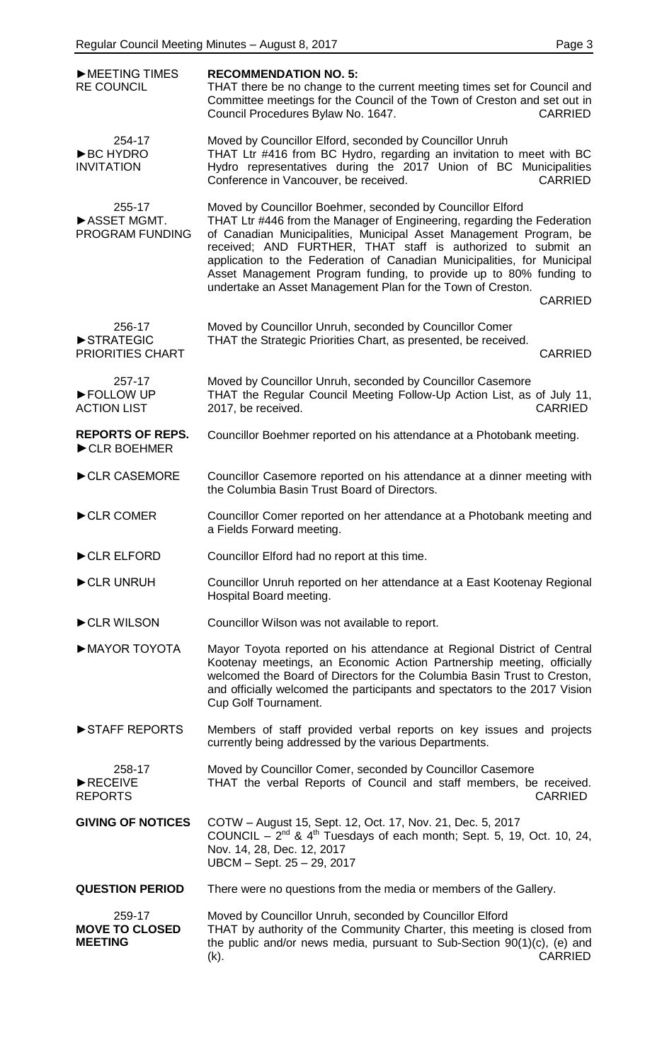| MEETING TIMES<br><b>RE COUNCIL</b>                | <b>RECOMMENDATION NO. 5:</b><br>THAT there be no change to the current meeting times set for Council and<br>Committee meetings for the Council of the Town of Creston and set out in<br>Council Procedures Bylaw No. 1647.<br><b>CARRIED</b>                                                                                                                                                                                                                                                                 |
|---------------------------------------------------|--------------------------------------------------------------------------------------------------------------------------------------------------------------------------------------------------------------------------------------------------------------------------------------------------------------------------------------------------------------------------------------------------------------------------------------------------------------------------------------------------------------|
| 254-17<br><b>BC HYDRO</b><br><b>INVITATION</b>    | Moved by Councillor Elford, seconded by Councillor Unruh<br>THAT Ltr #416 from BC Hydro, regarding an invitation to meet with BC<br>Hydro representatives during the 2017 Union of BC Municipalities<br>Conference in Vancouver, be received.<br><b>CARRIED</b>                                                                                                                                                                                                                                              |
| 255-17<br>ASSET MGMT.<br>PROGRAM FUNDING          | Moved by Councillor Boehmer, seconded by Councillor Elford<br>THAT Ltr #446 from the Manager of Engineering, regarding the Federation<br>of Canadian Municipalities, Municipal Asset Management Program, be<br>received; AND FURTHER, THAT staff is authorized to submit an<br>application to the Federation of Canadian Municipalities, for Municipal<br>Asset Management Program funding, to provide up to 80% funding to<br>undertake an Asset Management Plan for the Town of Creston.<br><b>CARRIED</b> |
| 256-17<br>STRATEGIC<br>PRIORITIES CHART           | Moved by Councillor Unruh, seconded by Councillor Comer<br>THAT the Strategic Priorities Chart, as presented, be received.<br><b>CARRIED</b>                                                                                                                                                                                                                                                                                                                                                                 |
| 257-17<br>FOLLOW UP<br><b>ACTION LIST</b>         | Moved by Councillor Unruh, seconded by Councillor Casemore<br>THAT the Regular Council Meeting Follow-Up Action List, as of July 11,<br>2017, be received.<br><b>CARRIED</b>                                                                                                                                                                                                                                                                                                                                 |
| <b>REPORTS OF REPS.</b><br>CLR BOEHMER            | Councillor Boehmer reported on his attendance at a Photobank meeting.                                                                                                                                                                                                                                                                                                                                                                                                                                        |
| CLR CASEMORE                                      | Councillor Casemore reported on his attendance at a dinner meeting with<br>the Columbia Basin Trust Board of Directors.                                                                                                                                                                                                                                                                                                                                                                                      |
| CLR COMER                                         | Councillor Comer reported on her attendance at a Photobank meeting and<br>a Fields Forward meeting.                                                                                                                                                                                                                                                                                                                                                                                                          |
| CLR ELFORD                                        | Councillor Elford had no report at this time.                                                                                                                                                                                                                                                                                                                                                                                                                                                                |
| CLR UNRUH                                         | Councillor Unruh reported on her attendance at a East Kootenay Regional<br>Hospital Board meeting.                                                                                                                                                                                                                                                                                                                                                                                                           |
| CLR WILSON                                        | Councillor Wilson was not available to report.                                                                                                                                                                                                                                                                                                                                                                                                                                                               |
| MAYOR TOYOTA                                      | Mayor Toyota reported on his attendance at Regional District of Central<br>Kootenay meetings, an Economic Action Partnership meeting, officially<br>welcomed the Board of Directors for the Columbia Basin Trust to Creston,<br>and officially welcomed the participants and spectators to the 2017 Vision<br>Cup Golf Tournament.                                                                                                                                                                           |
| STAFF REPORTS                                     | Members of staff provided verbal reports on key issues and projects<br>currently being addressed by the various Departments.                                                                                                                                                                                                                                                                                                                                                                                 |
| 258-17<br>RECEIVE<br><b>REPORTS</b>               | Moved by Councillor Comer, seconded by Councillor Casemore<br>THAT the verbal Reports of Council and staff members, be received.<br><b>CARRIED</b>                                                                                                                                                                                                                                                                                                                                                           |
| <b>GIVING OF NOTICES</b>                          | COTW - August 15, Sept. 12, Oct. 17, Nov. 21, Dec. 5, 2017<br>COUNCIL $-2^{nd}$ & 4 <sup>th</sup> Tuesdays of each month; Sept. 5, 19, Oct. 10, 24,<br>Nov. 14, 28, Dec. 12, 2017<br>UBCM - Sept. 25 - 29, 2017                                                                                                                                                                                                                                                                                              |
| <b>QUESTION PERIOD</b>                            | There were no questions from the media or members of the Gallery.                                                                                                                                                                                                                                                                                                                                                                                                                                            |
| 259-17<br><b>MOVE TO CLOSED</b><br><b>MEETING</b> | Moved by Councillor Unruh, seconded by Councillor Elford<br>THAT by authority of the Community Charter, this meeting is closed from<br>the public and/or news media, pursuant to Sub-Section 90(1)(c), (e) and<br><b>CARRIED</b><br>(k).                                                                                                                                                                                                                                                                     |